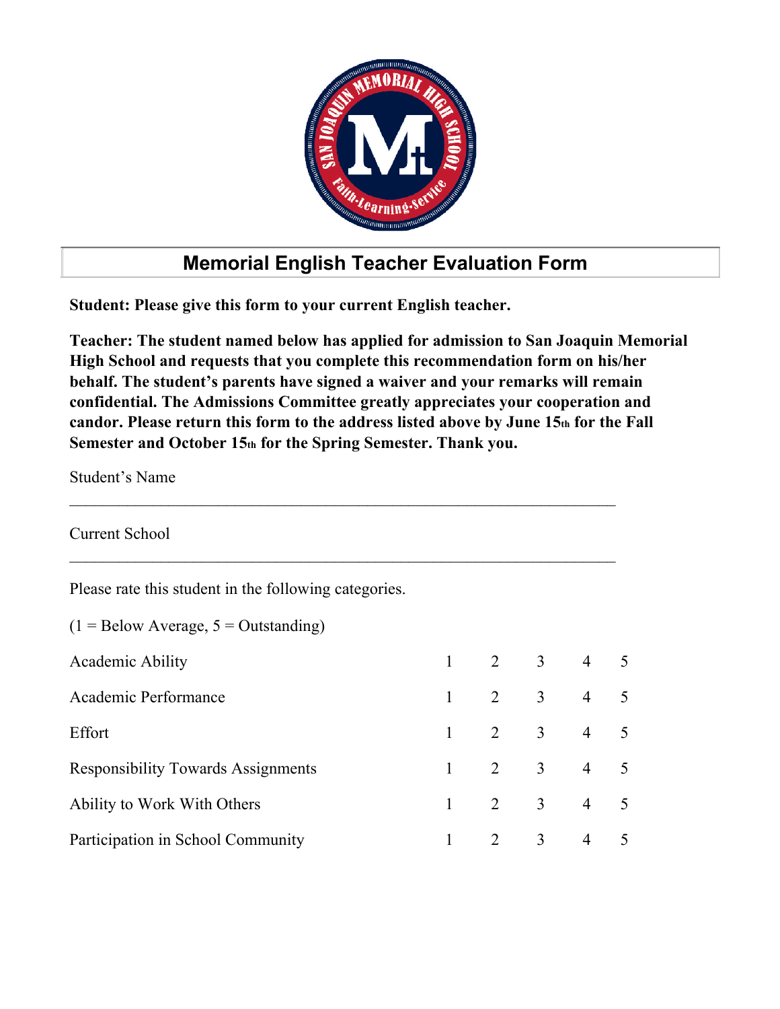

## **Memorial English Teacher Evaluation Form**

**Student: Please give this form to your current English teacher.**

**Teacher: The student named below has applied for admission to San Joaquin Memorial High School and requests that you complete this recommendation form on his/her behalf. The student's parents have signed a waiver and your remarks will remain confidential. The Admissions Committee greatly appreciates your cooperation and candor. Please return this form to the address listed above by June 15th for the Fall Semester and October 15th for the Spring Semester. Thank you.**

Student's Name

Current School

Please rate this student in the following categories.

 $(1 = Below Average, 5 = Outstanding)$ Academic Ability 1 2 3 4 5 Academic Performance  $\begin{array}{ccccccccc}\n1 & 2 & 3 & 4 & 5\n\end{array}$ Effort 1 2 3 4 5 Responsibility Towards Assignments 1 2 3 4 5 Ability to Work With Others 1 2 3 4 5 Participation in School Community 1 2 3 4 5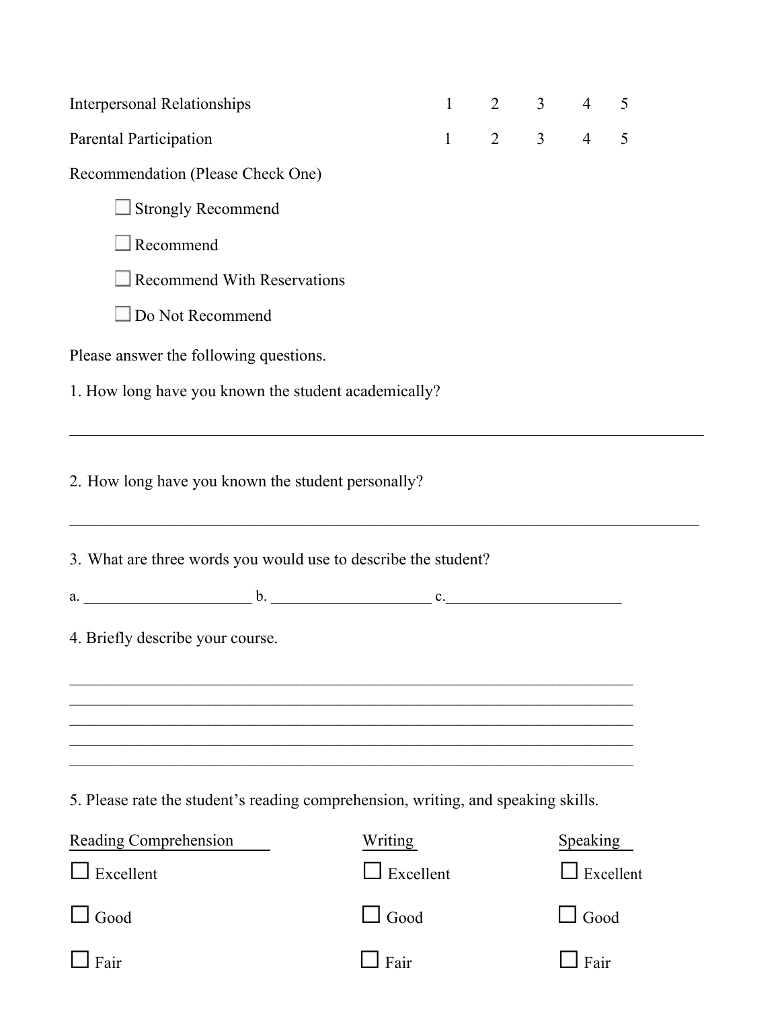| <b>Interpersonal Relationships</b>                                                |           |              | $1 \t 2 \t 3 \t 4$ |  |                       | 5 |  |  |
|-----------------------------------------------------------------------------------|-----------|--------------|--------------------|--|-----------------------|---|--|--|
| Parental Participation                                                            |           | $\mathbf{1}$ |                    |  | $2 \qquad 3 \qquad 4$ | 5 |  |  |
| Recommendation (Please Check One)                                                 |           |              |                    |  |                       |   |  |  |
| Strongly Recommend                                                                |           |              |                    |  |                       |   |  |  |
| $\Box$ Recommend                                                                  |           |              |                    |  |                       |   |  |  |
| Recommend With Reservations                                                       |           |              |                    |  |                       |   |  |  |
| Do Not Recommend                                                                  |           |              |                    |  |                       |   |  |  |
| Please answer the following questions.                                            |           |              |                    |  |                       |   |  |  |
| 1. How long have you known the student academically?                              |           |              |                    |  |                       |   |  |  |
| 2. How long have you known the student personally?                                |           |              |                    |  |                       |   |  |  |
| 3. What are three words you would use to describe the student?                    |           |              |                    |  |                       |   |  |  |
| $a.$ $c.$                                                                         |           |              |                    |  |                       |   |  |  |
| 4. Briefly describe your course.                                                  |           |              |                    |  |                       |   |  |  |
|                                                                                   |           |              |                    |  |                       |   |  |  |
|                                                                                   |           |              |                    |  |                       |   |  |  |
| 5. Please rate the student's reading comprehension, writing, and speaking skills. |           |              |                    |  |                       |   |  |  |
| Reading Comprehension                                                             | Writing   |              |                    |  | <b>Speaking</b>       |   |  |  |
| Excellent                                                                         | Excellent |              |                    |  | Excellent             |   |  |  |
| Good                                                                              | Good      |              |                    |  | Good                  |   |  |  |

☐ Fair ☐ Fair ☐ Fair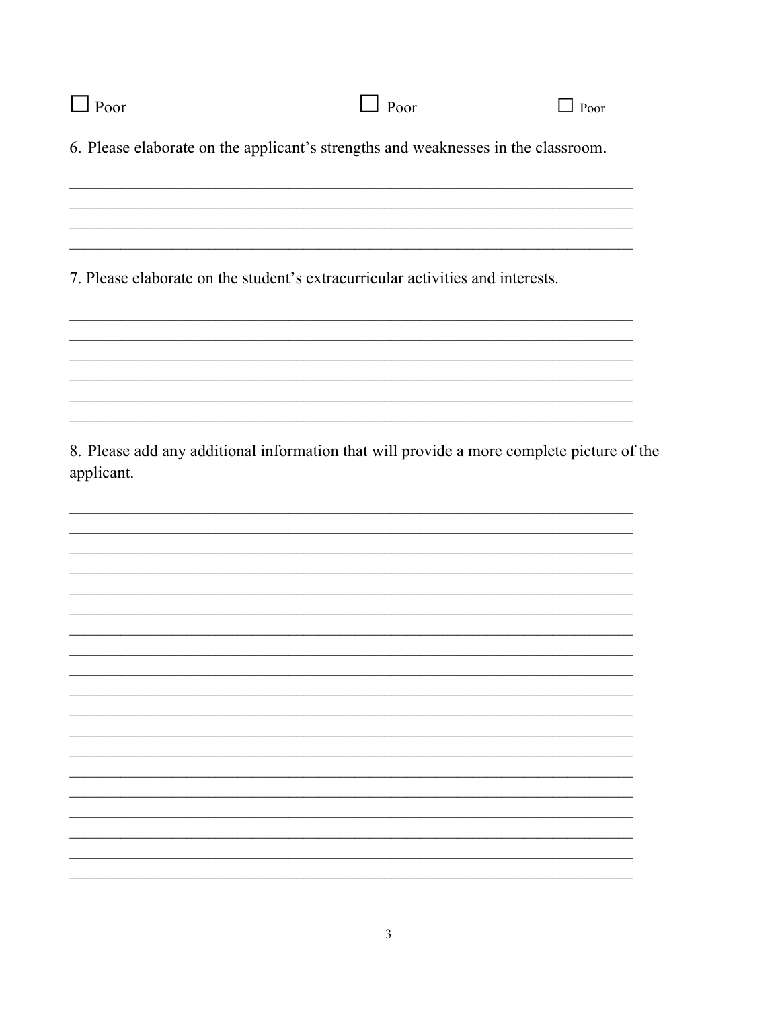| Poor       | Poor                                                                                      | $\Box$ Poor |
|------------|-------------------------------------------------------------------------------------------|-------------|
|            | 6. Please elaborate on the applicant's strengths and weaknesses in the classroom.         |             |
|            |                                                                                           |             |
|            | 7. Please elaborate on the student's extracurricular activities and interests.            |             |
|            |                                                                                           |             |
| applicant. | 8. Please add any additional information that will provide a more complete picture of the |             |
|            |                                                                                           |             |
|            |                                                                                           |             |
|            |                                                                                           |             |
|            |                                                                                           |             |
|            |                                                                                           |             |
|            |                                                                                           |             |

 $\overline{3}$